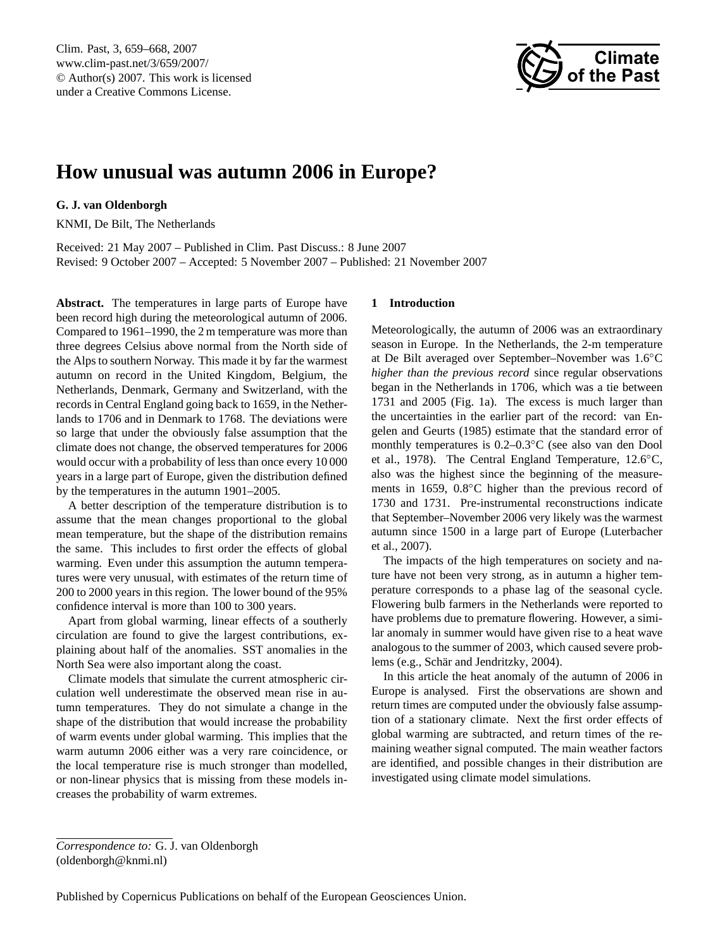<span id="page-0-0"></span>Clim. Past, 3, 659–668, 2007 www.clim-past.net/3/659/2007/ © Author(s) 2007. This work is licensed under a Creative Commons License.



# **How unusual was autumn 2006 in Europe?**

# **G. J. van Oldenborgh**

KNMI, De Bilt, The Netherlands

Received: 21 May 2007 – Published in Clim. Past Discuss.: 8 June 2007 Revised: 9 October 2007 – Accepted: 5 November 2007 – Published: 21 November 2007

**Abstract.** The temperatures in large parts of Europe have been record high during the meteorological autumn of 2006. Compared to 1961–1990, the 2 m temperature was more than three degrees Celsius above normal from the North side of the Alps to southern Norway. This made it by far the warmest autumn on record in the United Kingdom, Belgium, the Netherlands, Denmark, Germany and Switzerland, with the records in Central England going back to 1659, in the Netherlands to 1706 and in Denmark to 1768. The deviations were so large that under the obviously false assumption that the climate does not change, the observed temperatures for 2006 would occur with a probability of less than once every 10 000 years in a large part of Europe, given the distribution defined by the temperatures in the autumn 1901–2005.

A better description of the temperature distribution is to assume that the mean changes proportional to the global mean temperature, but the shape of the distribution remains the same. This includes to first order the effects of global warming. Even under this assumption the autumn temperatures were very unusual, with estimates of the return time of 200 to 2000 years in this region. The lower bound of the 95% confidence interval is more than 100 to 300 years.

Apart from global warming, linear effects of a southerly circulation are found to give the largest contributions, explaining about half of the anomalies. SST anomalies in the North Sea were also important along the coast.

Climate models that simulate the current atmospheric circulation well underestimate the observed mean rise in autumn temperatures. They do not simulate a change in the shape of the distribution that would increase the probability of warm events under global warming. This implies that the warm autumn 2006 either was a very rare coincidence, or the local temperature rise is much stronger than modelled, or non-linear physics that is missing from these models increases the probability of warm extremes.

# **1 Introduction**

Meteorologically, the autumn of 2006 was an extraordinary season in Europe. In the Netherlands, the 2-m temperature at De Bilt averaged over September–November was 1.6◦C *higher than the previous record* since regular observations began in the Netherlands in 1706, which was a tie between 1731 and 2005 (Fig. [1a](#page-1-0)). The excess is much larger than the uncertainties in the earlier part of the record: [van En](#page-9-0)[gelen and Geurts](#page-9-0) [\(1985\)](#page-9-0) estimate that the standard error of monthly temperatures is 0.2–0.3◦C (see also [van den Dool](#page-9-1) [et al.,](#page-9-1) [1978\)](#page-9-1). The Central England Temperature, 12.6◦C, also was the highest since the beginning of the measurements in 1659, 0.8<sup>°</sup>C higher than the previous record of 1730 and 1731. Pre-instrumental reconstructions indicate that September–November 2006 very likely was the warmest autumn since 1500 in a large part of Europe [\(Luterbacher](#page-8-0) [et al.,](#page-8-0) [2007\)](#page-8-0).

The impacts of the high temperatures on society and nature have not been very strong, as in autumn a higher temperature corresponds to a phase lag of the seasonal cycle. Flowering bulb farmers in the Netherlands were reported to have problems due to premature flowering. However, a similar anomaly in summer would have given rise to a heat wave analogous to the summer of 2003, which caused severe prob-lems (e.g., Schär and Jendritzky, [2004\)](#page-8-1).

In this article the heat anomaly of the autumn of 2006 in Europe is analysed. First the observations are shown and return times are computed under the obviously false assumption of a stationary climate. Next the first order effects of global warming are subtracted, and return times of the remaining weather signal computed. The main weather factors are identified, and possible changes in their distribution are investigated using climate model simulations.

*Correspondence to:* G. J. van Oldenborgh (oldenborgh@knmi.nl)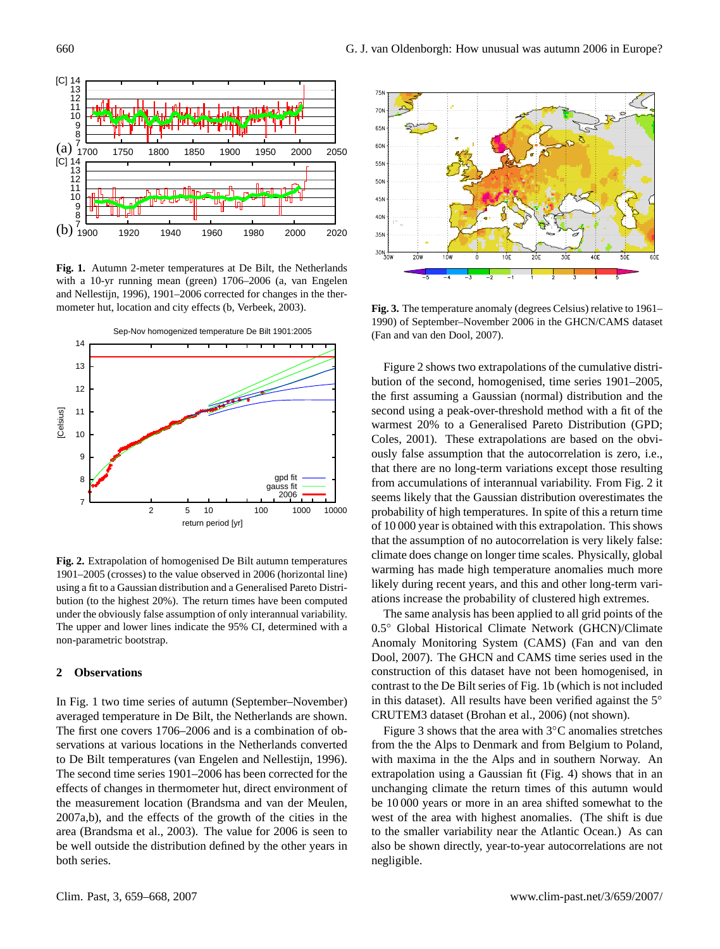

<span id="page-1-0"></span>**Fig. 1.** Autumn 2-meter temperatures at De Bilt, the Netherlands with a 10-yr running mean (green) 1706–2006 (a, [van Engelen](#page-9-2) [and Nellestijn,](#page-9-2) [1996\)](#page-9-2), 1901–2006 corrected for changes in the thermometer hut, location and city effects (b, [Verbeek,](#page-9-3) [2003\)](#page-9-3).



<span id="page-1-1"></span>**Fig. 2.** Extrapolation of homogenised De Bilt autumn temperatures 1901–2005 (crosses) to the value observed in 2006 (horizontal line) using a fit to a Gaussian distribution and a Generalised Pareto Distribution (to the highest 20%). The return times have been computed under the obviously false assumption of only interannual variability. The upper and lower lines indicate the 95% CI, determined with a non-parametric bootstrap.

#### **2 Observations**

In Fig. [1](#page-1-0) two time series of autumn (September–November) averaged temperature in De Bilt, the Netherlands are shown. The first one covers 1706–2006 and is a combination of observations at various locations in the Netherlands converted to De Bilt temperatures [\(van Engelen and Nellestijn,](#page-9-2) [1996\)](#page-9-2). The second time series 1901–2006 has been corrected for the effects of changes in thermometer hut, direct environment of the measurement location [\(Brandsma and van der Meulen,](#page-8-2) [2007a](#page-8-2)[,b\)](#page-8-3), and the effects of the growth of the cities in the area [\(Brandsma et al.,](#page-8-4) [2003\)](#page-8-4). The value for 2006 is seen to be well outside the distribution defined by the other years in both series.



<span id="page-1-2"></span>**Fig. 3.** The temperature anomaly (degrees Celsius) relative to 1961– 1990) of September–November 2006 in the GHCN/CAMS dataset [\(Fan and van den Dool,](#page-8-5) [2007\)](#page-8-5).

Figure [2](#page-1-1) shows two extrapolations of the cumulative distribution of the second, homogenised, time series 1901–2005, the first assuming a Gaussian (normal) distribution and the second using a peak-over-threshold method with a fit of the warmest 20% to a Generalised Pareto Distribution (GPD; [Coles,](#page-8-6) [2001\)](#page-8-6). These extrapolations are based on the obviously false assumption that the autocorrelation is zero, i.e., that there are no long-term variations except those resulting from accumulations of interannual variability. From Fig. [2](#page-1-1) it seems likely that the Gaussian distribution overestimates the probability of high temperatures. In spite of this a return time of 10 000 year is obtained with this extrapolation. This shows that the assumption of no autocorrelation is very likely false: climate does change on longer time scales. Physically, global warming has made high temperature anomalies much more likely during recent years, and this and other long-term variations increase the probability of clustered high extremes.

The same analysis has been applied to all grid points of the 0.5◦ Global Historical Climate Network (GHCN)/Climate Anomaly Monitoring System (CAMS) [\(Fan and van den](#page-8-5) [Dool,](#page-8-5) [2007\)](#page-8-5). The GHCN and CAMS time series used in the construction of this dataset have not been homogenised, in contrast to the De Bilt series of Fig. [1b](#page-1-0) (which is not included in this dataset). All results have been verified against the 5◦ CRUTEM3 dataset [\(Brohan et al.,](#page-8-7) [2006\)](#page-8-7) (not shown).

Figure [3](#page-1-2) shows that the area with  $3°C$  anomalies stretches from the the Alps to Denmark and from Belgium to Poland, with maxima in the the Alps and in southern Norway. An extrapolation using a Gaussian fit (Fig. [4\)](#page-2-0) shows that in an unchanging climate the return times of this autumn would be 10 000 years or more in an area shifted somewhat to the west of the area with highest anomalies. (The shift is due to the smaller variability near the Atlantic Ocean.) As can also be shown directly, year-to-year autocorrelations are not negligible.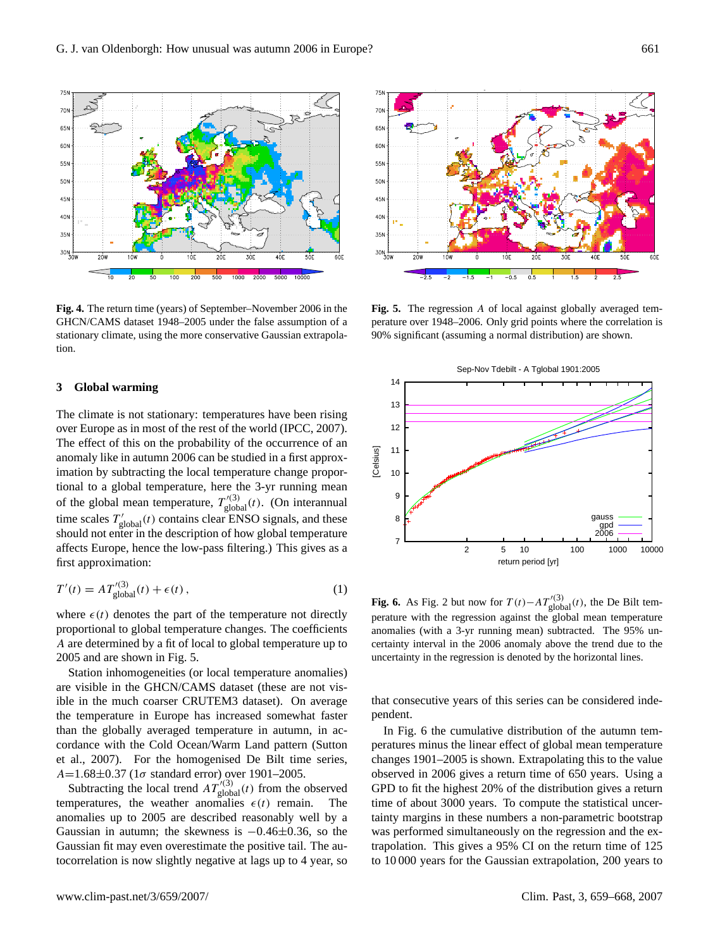

<span id="page-2-0"></span>**Fig. 4.** The return time (years) of September–November 2006 in the GHCN/CAMS dataset 1948–2005 under the false assumption of a stationary climate, using the more conservative Gaussian extrapolation.

#### **3 Global warming**

The climate is not stationary: temperatures have been rising over Europe as in most of the rest of the world [\(IPCC,](#page-8-8) [2007\)](#page-8-8). The effect of this on the probability of the occurrence of an anomaly like in autumn 2006 can be studied in a first approximation by subtracting the local temperature change proportional to a global temperature, here the 3-yr running mean of the global mean temperature,  $T'^{(3)}_{\text{global}}(t)$ . (On interannual time scales  $T'_{\text{global}}(t)$  contains clear ENSO signals, and these should not enter in the description of how global temperature affects Europe, hence the low-pass filtering.) This gives as a first approximation:

$$
T'(t) = A T'^{(3)}_{\text{global}}(t) + \epsilon(t) , \qquad (1)
$$

where  $\epsilon(t)$  denotes the part of the temperature not directly proportional to global temperature changes. The coefficients A are determined by a fit of local to global temperature up to 2005 and are shown in Fig. [5.](#page-2-1)

Station inhomogeneities (or local temperature anomalies) are visible in the GHCN/CAMS dataset (these are not visible in the much coarser CRUTEM3 dataset). On average the temperature in Europe has increased somewhat faster than the globally averaged temperature in autumn, in accordance with the Cold Ocean/Warm Land pattern [\(Sutton](#page-9-4) [et al.,](#page-9-4) [2007\)](#page-9-4). For the homogenised De Bilt time series,  $A=1.68\pm0.37$  (1 $\sigma$  standard error) over 1901–2005.

Subtracting the local trend  $AT'^{(3)}_{\text{global}}(t)$  from the observed temperatures, the weather anomalies  $\epsilon(t)$  remain. The anomalies up to 2005 are described reasonably well by a Gaussian in autumn; the skewness is −0.46±0.36, so the Gaussian fit may even overestimate the positive tail. The autocorrelation is now slightly negative at lags up to 4 year, so



<span id="page-2-1"></span>**Fig. 5.** The regression A of local against globally averaged temperature over 1948–2006. Only grid points where the correlation is 90% significant (assuming a normal distribution) are shown.



<span id="page-2-2"></span>**Fig. 6.** As Fig. [2](#page-1-1) but now for  $T(t) - AT'^{(3)}_{\text{global}}(t)$ , the De Bilt temperature with the regression against the global mean temperature anomalies (with a 3-yr running mean) subtracted. The 95% uncertainty interval in the 2006 anomaly above the trend due to the uncertainty in the regression is denoted by the horizontal lines.

that consecutive years of this series can be considered independent.

In Fig. [6](#page-2-2) the cumulative distribution of the autumn temperatures minus the linear effect of global mean temperature changes 1901–2005 is shown. Extrapolating this to the value observed in 2006 gives a return time of 650 years. Using a GPD to fit the highest 20% of the distribution gives a return time of about 3000 years. To compute the statistical uncertainty margins in these numbers a non-parametric bootstrap was performed simultaneously on the regression and the extrapolation. This gives a 95% CI on the return time of 125 to 10 000 years for the Gaussian extrapolation, 200 years to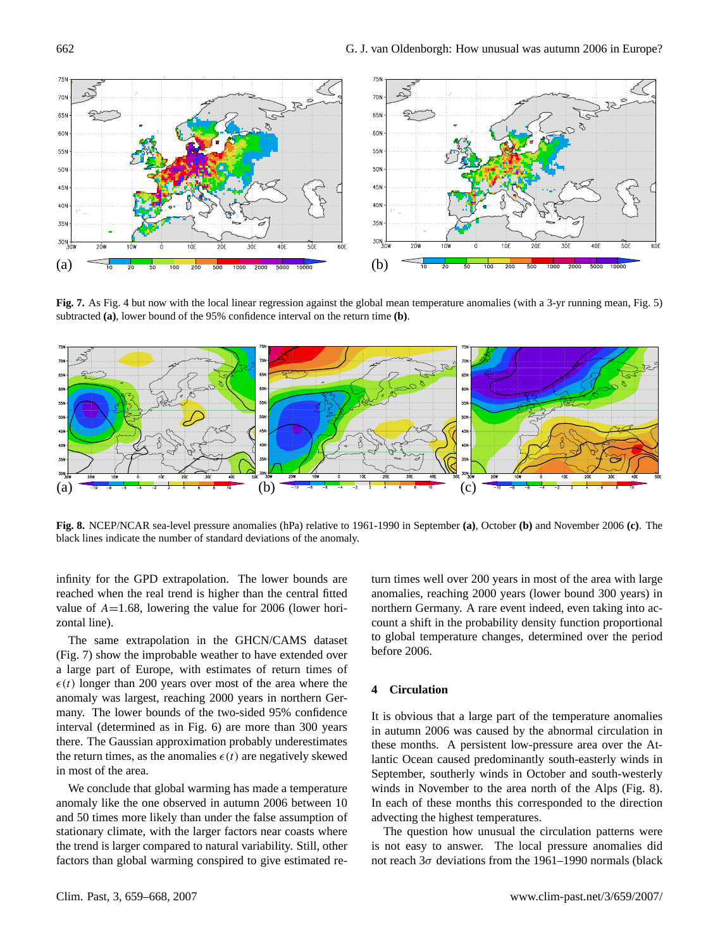

<span id="page-3-0"></span>**Fig. 7.** As Fig. [4](#page-2-0) but now with the local linear regression against the global mean temperature anomalies (with a 3-yr running mean, Fig. [5\)](#page-2-1) subtracted **(a)**, lower bound of the 95% confidence interval on the return time **(b)**.



<span id="page-3-1"></span>**Fig. 8.** NCEP/NCAR sea-level pressure anomalies (hPa) relative to 1961-1990 in September **(a)**, October **(b)** and November 2006 **(c)**. The black lines indicate the number of standard deviations of the anomaly.

infinity for the GPD extrapolation. The lower bounds are reached when the real trend is higher than the central fitted value of  $A=1.68$ , lowering the value for 2006 (lower horizontal line).

The same extrapolation in the GHCN/CAMS dataset (Fig. [7\)](#page-3-0) show the improbable weather to have extended over a large part of Europe, with estimates of return times of  $\epsilon(t)$  longer than 200 years over most of the area where the anomaly was largest, reaching 2000 years in northern Germany. The lower bounds of the two-sided 95% confidence interval (determined as in Fig. [6\)](#page-2-2) are more than 300 years there. The Gaussian approximation probably underestimates the return times, as the anomalies  $\epsilon(t)$  are negatively skewed in most of the area.

We conclude that global warming has made a temperature anomaly like the one observed in autumn 2006 between 10 and 50 times more likely than under the false assumption of stationary climate, with the larger factors near coasts where the trend is larger compared to natural variability. Still, other factors than global warming conspired to give estimated return times well over 200 years in most of the area with large anomalies, reaching 2000 years (lower bound 300 years) in northern Germany. A rare event indeed, even taking into account a shift in the probability density function proportional to global temperature changes, determined over the period before 2006.

## **4 Circulation**

It is obvious that a large part of the temperature anomalies in autumn 2006 was caused by the abnormal circulation in these months. A persistent low-pressure area over the Atlantic Ocean caused predominantly south-easterly winds in September, southerly winds in October and south-westerly winds in November to the area north of the Alps (Fig. [8\)](#page-3-1). In each of these months this corresponded to the direction advecting the highest temperatures.

The question how unusual the circulation patterns were is not easy to answer. The local pressure anomalies did not reach  $3\sigma$  deviations from the 1961–1990 normals (black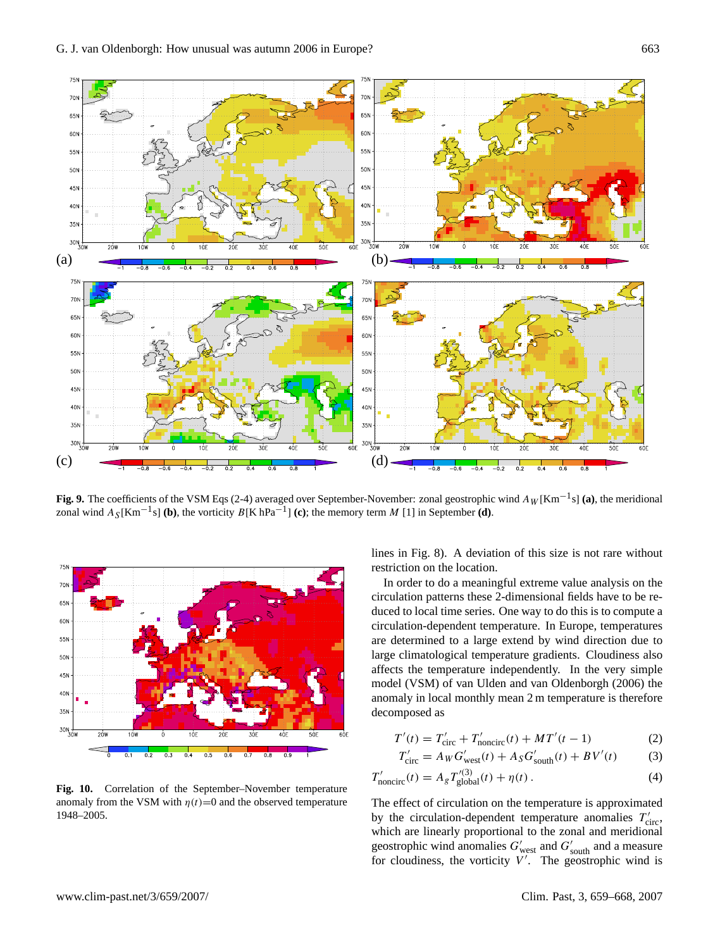

<span id="page-4-1"></span>**Fig. 9.** The coefficients of the VSM Eqs [\(2-4\)](#page-4-0) averaged over September-November: zonal geostrophic wind  $A_W$ [Km<sup>-1</sup>s] **(a)**, the meridional zonal wind  $A_S$ [Km<sup>-1</sup>s] **(b)**, the vorticity  $B$ [K hPa<sup>-1</sup>] **(c)**; the memory term M [1] in September **(d)**.



<span id="page-4-2"></span>**Fig. 10.** Correlation of the September–November temperature anomaly from the VSM with  $\eta(t)=0$  and the observed temperature 1948–2005.

lines in Fig. [8\)](#page-3-1). A deviation of this size is not rare without restriction on the location.

In order to do a meaningful extreme value analysis on the circulation patterns these 2-dimensional fields have to be reduced to local time series. One way to do this is to compute a circulation-dependent temperature. In Europe, temperatures are determined to a large extend by wind direction due to large climatological temperature gradients. Cloudiness also affects the temperature independently. In the very simple model (VSM) of [van Ulden and van Oldenborgh](#page-9-5) [\(2006\)](#page-9-5) the anomaly in local monthly mean 2 m temperature is therefore decomposed as

$$
T'(t) = T'_{\text{circ}} + T'_{\text{noncirc}}(t) + MT'(t - 1)
$$
 (2)

<span id="page-4-0"></span>
$$
T'_{\text{circ}} = A_W G'_{\text{west}}(t) + A_S G'_{\text{south}}(t) + BV'(t) \tag{3}
$$

$$
T'_{\text{noncirc}}(t) = A_g T'^{(3)}_{\text{global}}(t) + \eta(t) \,. \tag{4}
$$

The effect of circulation on the temperature is approximated by the circulation-dependent temperature anomalies  $T'_{\text{circ}}$ , which are linearly proportional to the zonal and meridional geostrophic wind anomalies  $G'_{\text{west}}$  and  $G'_{\text{south}}$  and a measure for cloudiness, the vorticity  $V'$ . The geostrophic wind is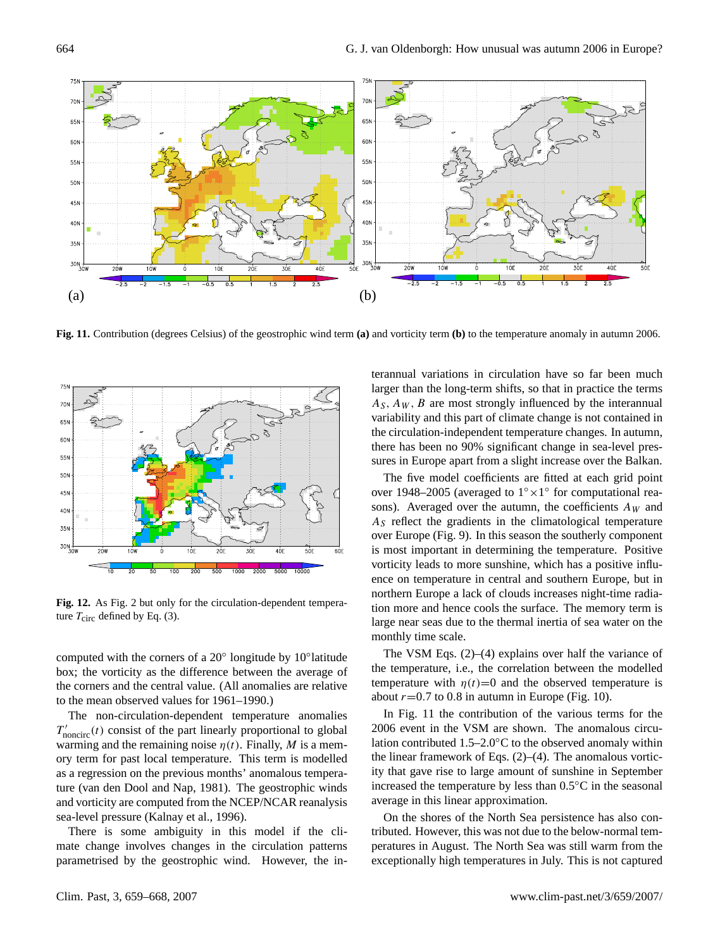

<span id="page-5-0"></span>**Fig. 11.** Contribution (degrees Celsius) of the geostrophic wind term **(a)** and vorticity term **(b)** to the temperature anomaly in autumn 2006.



<span id="page-5-1"></span>**Fig. 12.** As Fig. [2](#page-1-1) but only for the circulation-dependent temperature  $T_{\text{circ}}$  defined by Eq. [\(3\)](#page-4-0).

computed with the corners of a 20° longitude by 10°latitude box; the vorticity as the difference between the average of the corners and the central value. (All anomalies are relative to the mean observed values for 1961–1990.)

The non-circulation-dependent temperature anomalies  $T'_{\text{noncirc}}(t)$  consist of the part linearly proportional to global warming and the remaining noise  $\eta(t)$ . Finally, M is a memory term for past local temperature. This term is modelled as a regression on the previous months' anomalous temperature [\(van den Dool and Nap,](#page-9-6) [1981\)](#page-9-6). The geostrophic winds and vorticity are computed from the NCEP/NCAR reanalysis sea-level pressure [\(Kalnay et al.,](#page-8-9) [1996\)](#page-8-9).

There is some ambiguity in this model if the climate change involves changes in the circulation patterns parametrised by the geostrophic wind. However, the interannual variations in circulation have so far been much larger than the long-term shifts, so that in practice the terms  $A<sub>S</sub>, A<sub>W</sub>, B$  are most strongly influenced by the interannual variability and this part of climate change is not contained in the circulation-independent temperature changes. In autumn, there has been no 90% significant change in sea-level pressures in Europe apart from a slight increase over the Balkan.

The five model coefficients are fitted at each grid point over 1948–2005 (averaged to 1° × 1° for computational reasons). Averaged over the autumn, the coefficients  $A_W$  and  $A<sub>S</sub>$  reflect the gradients in the climatological temperature over Europe (Fig. [9\)](#page-4-1). In this season the southerly component is most important in determining the temperature. Positive vorticity leads to more sunshine, which has a positive influence on temperature in central and southern Europe, but in northern Europe a lack of clouds increases night-time radiation more and hence cools the surface. The memory term is large near seas due to the thermal inertia of sea water on the monthly time scale.

The VSM Eqs. [\(2\)](#page-4-0)–[\(4\)](#page-4-0) explains over half the variance of the temperature, i.e., the correlation between the modelled temperature with  $\eta(t)=0$  and the observed temperature is about  $r=0.7$  to 0.8 in autumn in Europe (Fig. [10\)](#page-4-2).

In Fig. [11](#page-5-0) the contribution of the various terms for the 2006 event in the VSM are shown. The anomalous circulation contributed 1.5–2.0◦C to the observed anomaly within the linear framework of Eqs. [\(2\)](#page-4-0)–[\(4\)](#page-4-0). The anomalous vorticity that gave rise to large amount of sunshine in September increased the temperature by less than 0.5◦C in the seasonal average in this linear approximation.

On the shores of the North Sea persistence has also contributed. However, this was not due to the below-normal temperatures in August. The North Sea was still warm from the exceptionally high temperatures in July. This is not captured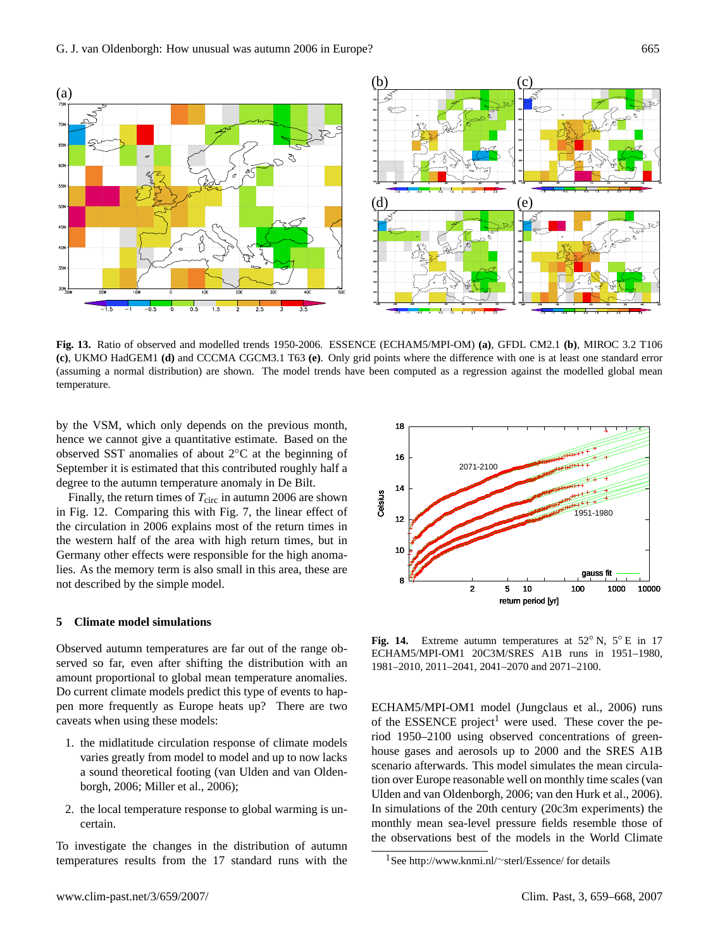

<span id="page-6-1"></span>**Fig. 13.** Ratio of observed and modelled trends 1950-2006. ESSENCE (ECHAM5/MPI-OM) **(a)**, GFDL CM2.1 **(b)**, MIROC 3.2 T106 **(c)**, UKMO HadGEM1 **(d)** and CCCMA CGCM3.1 T63 **(e)**. Only grid points where the difference with one is at least one standard error (assuming a normal distribution) are shown. The model trends have been computed as a regression against the modelled global mean temperature.

by the VSM, which only depends on the previous month, hence we cannot give a quantitative estimate. Based on the observed SST anomalies of about 2◦C at the beginning of September it is estimated that this contributed roughly half a degree to the autumn temperature anomaly in De Bilt.

Finally, the return times of  $T_{\text{circ}}$  in autumn 2006 are shown in Fig. [12.](#page-5-1) Comparing this with Fig. [7,](#page-3-0) the linear effect of the circulation in 2006 explains most of the return times in the western half of the area with high return times, but in Germany other effects were responsible for the high anomalies. As the memory term is also small in this area, these are not described by the simple model.

## **5 Climate model simulations**

Observed autumn temperatures are far out of the range observed so far, even after shifting the distribution with an amount proportional to global mean temperature anomalies. Do current climate models predict this type of events to happen more frequently as Europe heats up? There are two caveats when using these models:

- 1. the midlatitude circulation response of climate models varies greatly from model to model and up to now lacks a sound theoretical footing [\(van Ulden and van Olden](#page-9-5)[borgh,](#page-9-5) [2006;](#page-9-5) [Miller et al.,](#page-8-10) [2006\)](#page-8-10);
- 2. the local temperature response to global warming is uncertain.

To investigate the changes in the distribution of autumn temperatures results from the 17 standard runs with the



<span id="page-6-2"></span>**Fig. 14.** Extreme autumn temperatures at 52◦ N, 5◦ E in 17 ECHAM5/MPI-OM1 20C3M/SRES A1B runs in 1951–1980, 1981–2010, 2011–2041, 2041–2070 and 2071–2100.

ECHAM5/MPI-OM1 model [\(Jungclaus et al.,](#page-8-11) [2006\)](#page-8-11) runs of the ESSENCE project<sup>[1](#page-6-0)</sup> were used. These cover the period 1950–2100 using observed concentrations of greenhouse gases and aerosols up to 2000 and the SRES A1B scenario afterwards. This model simulates the mean circulation over Europe reasonable well on monthly time scales [\(van](#page-9-5) [Ulden and van Oldenborgh,](#page-9-5) [2006;](#page-9-5) [van den Hurk et al.,](#page-9-7) [2006\)](#page-9-7). In simulations of the 20th century (20c3m experiments) the monthly mean sea-level pressure fields resemble those of the observations best of the models in the World Climate

<span id="page-6-0"></span><sup>1</sup>See [http://www.knmi.nl/](http://www.knmi.nl/~sterl/Essence/)∼sterl/Essence/ for details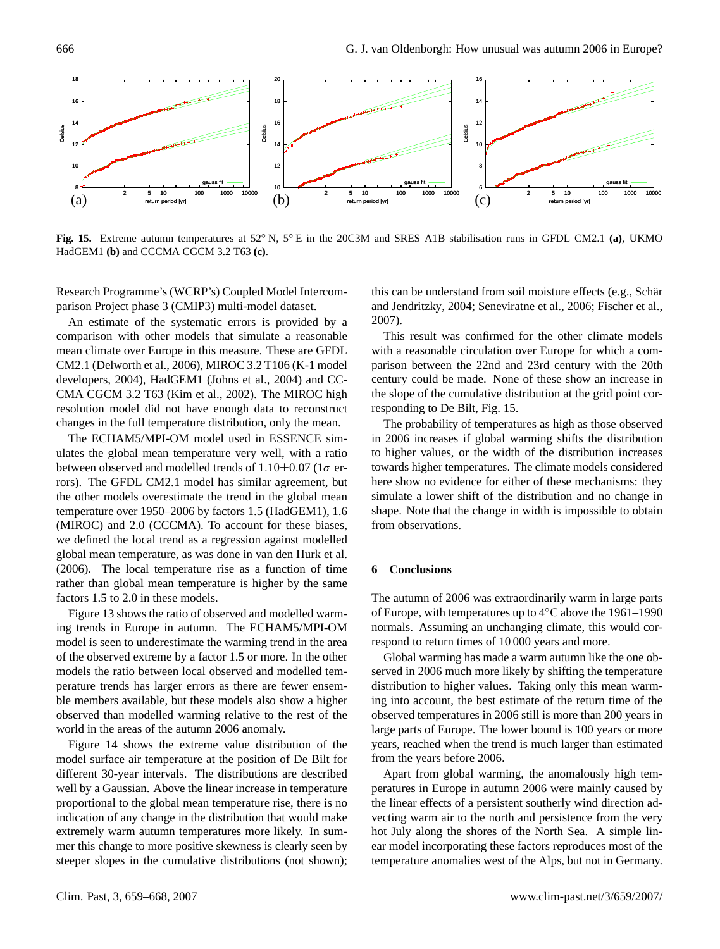

<span id="page-7-0"></span>**Fig. 15.** Extreme autumn temperatures at 52◦ N, 5◦ E in the 20C3M and SRES A1B stabilisation runs in GFDL CM2.1 **(a)**, UKMO HadGEM1 **(b)** and CCCMA CGCM 3.2 T63 **(c)**.

Research Programme's (WCRP's) Coupled Model Intercomparison Project phase 3 (CMIP3) multi-model dataset.

An estimate of the systematic errors is provided by a comparison with other models that simulate a reasonable mean climate over Europe in this measure. These are GFDL CM2.1 [\(Delworth et al.,](#page-8-12) [2006\)](#page-8-12), MIROC 3.2 T106 [\(K-1 model](#page-8-13) [developers,](#page-8-13) [2004\)](#page-8-13), HadGEM1 [\(Johns et al.,](#page-8-14) [2004\)](#page-8-14) and CC-CMA CGCM 3.2 T63 [\(Kim et al.,](#page-8-15) [2002\)](#page-8-15). The MIROC high resolution model did not have enough data to reconstruct changes in the full temperature distribution, only the mean.

The ECHAM5/MPI-OM model used in ESSENCE simulates the global mean temperature very well, with a ratio between observed and modelled trends of  $1.10\pm0.07$  (1 $\sigma$  errors). The GFDL CM2.1 model has similar agreement, but the other models overestimate the trend in the global mean temperature over 1950–2006 by factors 1.5 (HadGEM1), 1.6 (MIROC) and 2.0 (CCCMA). To account for these biases, we defined the local trend as a regression against modelled global mean temperature, as was done in [van den Hurk et al.](#page-9-7) [\(2006\)](#page-9-7). The local temperature rise as a function of time rather than global mean temperature is higher by the same factors 1.5 to 2.0 in these models.

Figure [13](#page-6-1) shows the ratio of observed and modelled warming trends in Europe in autumn. The ECHAM5/MPI-OM model is seen to underestimate the warming trend in the area of the observed extreme by a factor 1.5 or more. In the other models the ratio between local observed and modelled temperature trends has larger errors as there are fewer ensemble members available, but these models also show a higher observed than modelled warming relative to the rest of the world in the areas of the autumn 2006 anomaly.

Figure [14](#page-6-2) shows the extreme value distribution of the model surface air temperature at the position of De Bilt for different 30-year intervals. The distributions are described well by a Gaussian. Above the linear increase in temperature proportional to the global mean temperature rise, there is no indication of any change in the distribution that would make extremely warm autumn temperatures more likely. In summer this change to more positive skewness is clearly seen by steeper slopes in the cumulative distributions (not shown); this can be understand from soil moisture effects (e.g., Schär [and Jendritzky,](#page-8-1) [2004;](#page-8-1) [Seneviratne et al.,](#page-8-16) [2006;](#page-8-16) [Fischer et al.,](#page-8-17) [2007\)](#page-8-17).

This result was confirmed for the other climate models with a reasonable circulation over Europe for which a comparison between the 22nd and 23rd century with the 20th century could be made. None of these show an increase in the slope of the cumulative distribution at the grid point corresponding to De Bilt, Fig. [15.](#page-7-0)

The probability of temperatures as high as those observed in 2006 increases if global warming shifts the distribution to higher values, or the width of the distribution increases towards higher temperatures. The climate models considered here show no evidence for either of these mechanisms: they simulate a lower shift of the distribution and no change in shape. Note that the change in width is impossible to obtain from observations.

# **6 Conclusions**

The autumn of 2006 was extraordinarily warm in large parts of Europe, with temperatures up to 4◦C above the 1961–1990 normals. Assuming an unchanging climate, this would correspond to return times of 10 000 years and more.

Global warming has made a warm autumn like the one observed in 2006 much more likely by shifting the temperature distribution to higher values. Taking only this mean warming into account, the best estimate of the return time of the observed temperatures in 2006 still is more than 200 years in large parts of Europe. The lower bound is 100 years or more years, reached when the trend is much larger than estimated from the years before 2006.

Apart from global warming, the anomalously high temperatures in Europe in autumn 2006 were mainly caused by the linear effects of a persistent southerly wind direction advecting warm air to the north and persistence from the very hot July along the shores of the North Sea. A simple linear model incorporating these factors reproduces most of the temperature anomalies west of the Alps, but not in Germany.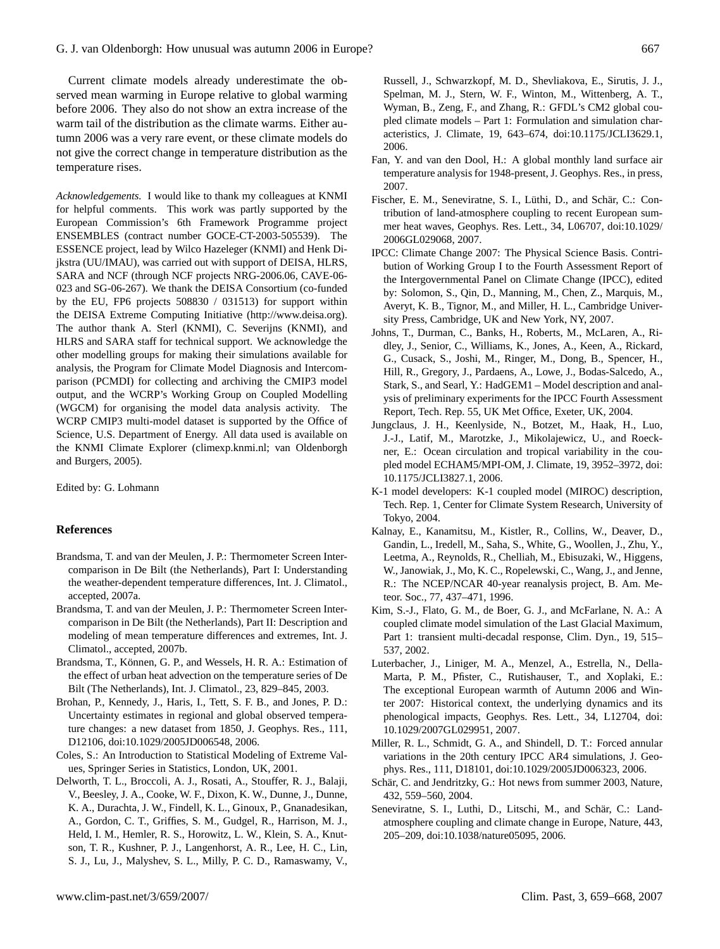Current climate models already underestimate the observed mean warming in Europe relative to global warming before 2006. They also do not show an extra increase of the warm tail of the distribution as the climate warms. Either autumn 2006 was a very rare event, or these climate models do not give the correct change in temperature distribution as the temperature rises.

*Acknowledgements.* I would like to thank my colleagues at KNMI for helpful comments. This work was partly supported by the European Commission's 6th Framework Programme project ENSEMBLES (contract number GOCE-CT-2003-505539). The ESSENCE project, lead by Wilco Hazeleger (KNMI) and Henk Dijkstra (UU/IMAU), was carried out with support of DEISA, HLRS, SARA and NCF (through NCF projects NRG-2006.06, CAVE-06- 023 and SG-06-267). We thank the DEISA Consortium (co-funded by the EU, FP6 projects 508830 / 031513) for support within the DEISA Extreme Computing Initiative [\(http://www.deisa.org\)](http://www.deisa.org). The author thank A. Sterl (KNMI), C. Severijns (KNMI), and HLRS and SARA staff for technical support. We acknowledge the other modelling groups for making their simulations available for analysis, the Program for Climate Model Diagnosis and Intercomparison (PCMDI) for collecting and archiving the CMIP3 model output, and the WCRP's Working Group on Coupled Modelling (WGCM) for organising the model data analysis activity. The WCRP CMIP3 multi-model dataset is supported by the Office of Science, U.S. Department of Energy. All data used is available on the KNMI Climate Explorer (climexp.knmi.nl; [van Oldenborgh](#page-9-8) [and Burgers,](#page-9-8) [2005\)](#page-9-8).

Edited by: G. Lohmann

## **References**

- <span id="page-8-2"></span>Brandsma, T. and van der Meulen, J. P.: Thermometer Screen Intercomparison in De Bilt (the Netherlands), Part I: Understanding the weather-dependent temperature differences, Int. J. Climatol., accepted, 2007a.
- <span id="page-8-3"></span>Brandsma, T. and van der Meulen, J. P.: Thermometer Screen Intercomparison in De Bilt (the Netherlands), Part II: Description and modeling of mean temperature differences and extremes, Int. J. Climatol., accepted, 2007b.
- <span id="page-8-4"></span>Brandsma, T., Können, G. P., and Wessels, H. R. A.: Estimation of the effect of urban heat advection on the temperature series of De Bilt (The Netherlands), Int. J. Climatol., 23, 829–845, 2003.
- <span id="page-8-7"></span>Brohan, P., Kennedy, J., Haris, I., Tett, S. F. B., and Jones, P. D.: Uncertainty estimates in regional and global observed temperature changes: a new dataset from 1850, J. Geophys. Res., 111, D12106, doi:10.1029/2005JD006548, 2006.
- <span id="page-8-6"></span>Coles, S.: An Introduction to Statistical Modeling of Extreme Values, Springer Series in Statistics, London, UK, 2001.
- <span id="page-8-12"></span>Delworth, T. L., Broccoli, A. J., Rosati, A., Stouffer, R. J., Balaji, V., Beesley, J. A., Cooke, W. F., Dixon, K. W., Dunne, J., Dunne, K. A., Durachta, J. W., Findell, K. L., Ginoux, P., Gnanadesikan, A., Gordon, C. T., Griffies, S. M., Gudgel, R., Harrison, M. J., Held, I. M., Hemler, R. S., Horowitz, L. W., Klein, S. A., Knutson, T. R., Kushner, P. J., Langenhorst, A. R., Lee, H. C., Lin, S. J., Lu, J., Malyshev, S. L., Milly, P. C. D., Ramaswamy, V.,

Russell, J., Schwarzkopf, M. D., Shevliakova, E., Sirutis, J. J., Spelman, M. J., Stern, W. F., Winton, M., Wittenberg, A. T., Wyman, B., Zeng, F., and Zhang, R.: GFDL's CM2 global coupled climate models – Part 1: Formulation and simulation characteristics, J. Climate, 19, 643–674, doi:10.1175/JCLI3629.1, 2006.

- <span id="page-8-5"></span>Fan, Y. and van den Dool, H.: A global monthly land surface air temperature analysis for 1948-present, J. Geophys. Res., in press, 2007.
- <span id="page-8-17"></span>Fischer, E. M., Seneviratne, S. I., Lüthi, D., and Schär, C.: Contribution of land-atmosphere coupling to recent European summer heat waves, Geophys. Res. Lett., 34, L06707, doi:10.1029/ 2006GL029068, 2007.
- <span id="page-8-8"></span>IPCC: Climate Change 2007: The Physical Science Basis. Contribution of Working Group I to the Fourth Assessment Report of the Intergovernmental Panel on Climate Change (IPCC), edited by: Solomon, S., Qin, D., Manning, M., Chen, Z., Marquis, M., Averyt, K. B., Tignor, M., and Miller, H. L., Cambridge University Press, Cambridge, UK and New York, NY, 2007.
- <span id="page-8-14"></span>Johns, T., Durman, C., Banks, H., Roberts, M., McLaren, A., Ridley, J., Senior, C., Williams, K., Jones, A., Keen, A., Rickard, G., Cusack, S., Joshi, M., Ringer, M., Dong, B., Spencer, H., Hill, R., Gregory, J., Pardaens, A., Lowe, J., Bodas-Salcedo, A., Stark, S., and Searl, Y.: HadGEM1 – Model description and analysis of preliminary experiments for the IPCC Fourth Assessment Report, Tech. Rep. 55, UK Met Office, Exeter, UK, 2004.
- <span id="page-8-11"></span>Jungclaus, J. H., Keenlyside, N., Botzet, M., Haak, H., Luo, J.-J., Latif, M., Marotzke, J., Mikolajewicz, U., and Roeckner, E.: Ocean circulation and tropical variability in the coupled model ECHAM5/MPI-OM, J. Climate, 19, 3952–3972, doi: 10.1175/JCLI3827.1, 2006.
- <span id="page-8-13"></span>K-1 model developers: K-1 coupled model (MIROC) description, Tech. Rep. 1, Center for Climate System Research, University of Tokyo, 2004.
- <span id="page-8-9"></span>Kalnay, E., Kanamitsu, M., Kistler, R., Collins, W., Deaver, D., Gandin, L., Iredell, M., Saha, S., White, G., Woollen, J., Zhu, Y., Leetma, A., Reynolds, R., Chelliah, M., Ebisuzaki, W., Higgens, W., Janowiak, J., Mo, K. C., Ropelewski, C., Wang, J., and Jenne, R.: The NCEP/NCAR 40-year reanalysis project, B. Am. Meteor. Soc., 77, 437–471, 1996.
- <span id="page-8-15"></span>Kim, S.-J., Flato, G. M., de Boer, G. J., and McFarlane, N. A.: A coupled climate model simulation of the Last Glacial Maximum, Part 1: transient multi-decadal response, Clim. Dyn., 19, 515– 537, 2002.
- <span id="page-8-0"></span>Luterbacher, J., Liniger, M. A., Menzel, A., Estrella, N., Della-Marta, P. M., Pfister, C., Rutishauser, T., and Xoplaki, E.: The exceptional European warmth of Autumn 2006 and Winter 2007: Historical context, the underlying dynamics and its phenological impacts, Geophys. Res. Lett., 34, L12704, doi: 10.1029/2007GL029951, 2007.
- <span id="page-8-10"></span>Miller, R. L., Schmidt, G. A., and Shindell, D. T.: Forced annular variations in the 20th century IPCC AR4 simulations, J. Geophys. Res., 111, D18101, doi:10.1029/2005JD006323, 2006.
- <span id="page-8-1"></span>Schär, C. and Jendritzky, G.: Hot news from summer 2003, Nature, 432, 559–560, 2004.
- <span id="page-8-16"></span>Seneviratne, S. I., Luthi, D., Litschi, M., and Schär, C.: Landatmosphere coupling and climate change in Europe, Nature, 443, 205–209, doi:10.1038/nature05095, 2006.